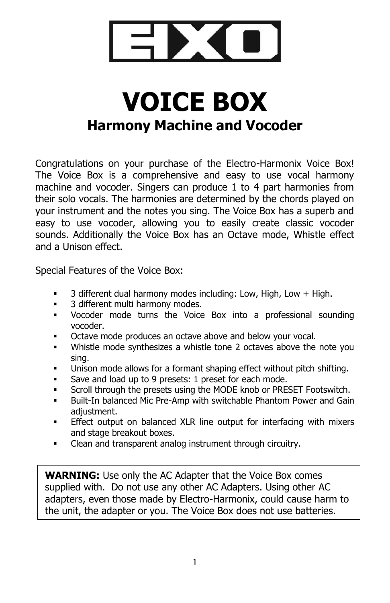

# **VOICE BOX Harmony Machine and Vocoder**

Congratulations on your purchase of the Electro-Harmonix Voice Box! The Voice Box is a comprehensive and easy to use vocal harmony machine and vocoder. Singers can produce 1 to 4 part harmonies from their solo vocals. The harmonies are determined by the chords played on your instrument and the notes you sing. The Voice Box has a superb and easy to use vocoder, allowing you to easily create classic vocoder sounds. Additionally the Voice Box has an Octave mode, Whistle effect and a Unison effect.

Special Features of the Voice Box:

- 3 different dual harmony modes including: Low, High, Low + High.
- 3 different multi harmony modes.
- Vocoder mode turns the Voice Box into a professional sounding vocoder.
- Octave mode produces an octave above and below your vocal.
- Whistle mode synthesizes a whistle tone 2 octaves above the note you sing.
- Unison mode allows for a formant shaping effect without pitch shifting.
- Save and load up to 9 presets: 1 preset for each mode.
- Scroll through the presets using the MODE knob or PRESET Footswitch.
- Built-In balanced Mic Pre-Amp with switchable Phantom Power and Gain adiustment.
- Effect output on balanced XLR line output for interfacing with mixers and stage breakout boxes.
- Clean and transparent analog instrument through circuitry.

**WARNING:** Use only the AC Adapter that the Voice Box comes supplied with. Do not use any other AC Adapters. Using other AC adapters, even those made by Electro-Harmonix, could cause harm to the unit, the adapter or you. The Voice Box does not use batteries.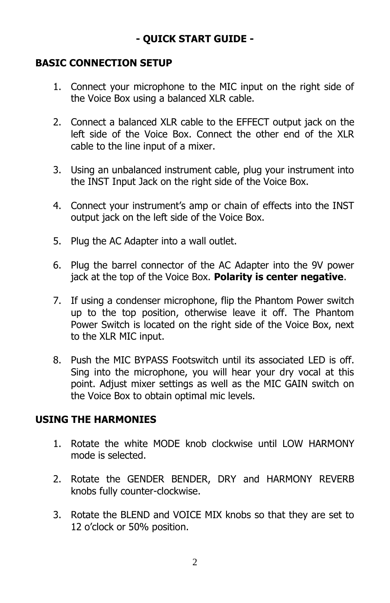# **- QUICK START GUIDE -**

#### **BASIC CONNECTION SETUP**

- 1. Connect your microphone to the MIC input on the right side of the Voice Box using a balanced XLR cable.
- 2. Connect a balanced XLR cable to the EFFECT output jack on the left side of the Voice Box. Connect the other end of the XLR cable to the line input of a mixer.
- 3. Using an unbalanced instrument cable, plug your instrument into the INST Input Jack on the right side of the Voice Box.
- 4. Connect your instrument's amp or chain of effects into the INST output jack on the left side of the Voice Box.
- 5. Plug the AC Adapter into a wall outlet.
- 6. Plug the barrel connector of the AC Adapter into the 9V power jack at the top of the Voice Box. **Polarity is center negative**.
- 7. If using a condenser microphone, flip the Phantom Power switch up to the top position, otherwise leave it off. The Phantom Power Switch is located on the right side of the Voice Box, next to the XLR MIC input.
- 8. Push the MIC BYPASS Footswitch until its associated LED is off. Sing into the microphone, you will hear your dry vocal at this point. Adjust mixer settings as well as the MIC GAIN switch on the Voice Box to obtain optimal mic levels.

#### **USING THE HARMONIES**

- 1. Rotate the white MODE knob clockwise until LOW HARMONY mode is selected.
- 2. Rotate the GENDER BENDER, DRY and HARMONY REVERB knobs fully counter-clockwise.
- 3. Rotate the BLEND and VOICE MIX knobs so that they are set to 12 o'clock or 50% position.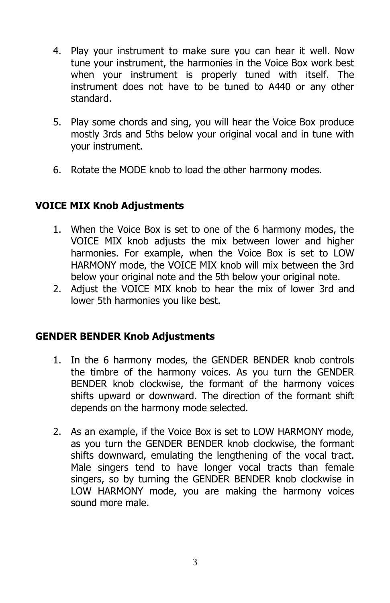- 4. Play your instrument to make sure you can hear it well. Now tune your instrument, the harmonies in the Voice Box work best when your instrument is properly tuned with itself. The instrument does not have to be tuned to A440 or any other standard.
- 5. Play some chords and sing, you will hear the Voice Box produce mostly 3rds and 5ths below your original vocal and in tune with your instrument.
- 6. Rotate the MODE knob to load the other harmony modes.

# **VOICE MIX Knob Adjustments**

- 1. When the Voice Box is set to one of the 6 harmony modes, the VOICE MIX knob adjusts the mix between lower and higher harmonies. For example, when the Voice Box is set to LOW HARMONY mode, the VOICE MIX knob will mix between the 3rd below your original note and the 5th below your original note.
- 2. Adjust the VOICE MIX knob to hear the mix of lower 3rd and lower 5th harmonies you like best.

#### **GENDER BENDER Knob Adjustments**

- 1. In the 6 harmony modes, the GENDER BENDER knob controls the timbre of the harmony voices. As you turn the GENDER BENDER knob clockwise, the formant of the harmony voices shifts upward or downward. The direction of the formant shift depends on the harmony mode selected.
- 2. As an example, if the Voice Box is set to LOW HARMONY mode, as you turn the GENDER BENDER knob clockwise, the formant shifts downward, emulating the lengthening of the vocal tract. Male singers tend to have longer vocal tracts than female singers, so by turning the GENDER BENDER knob clockwise in LOW HARMONY mode, you are making the harmony voices sound more male.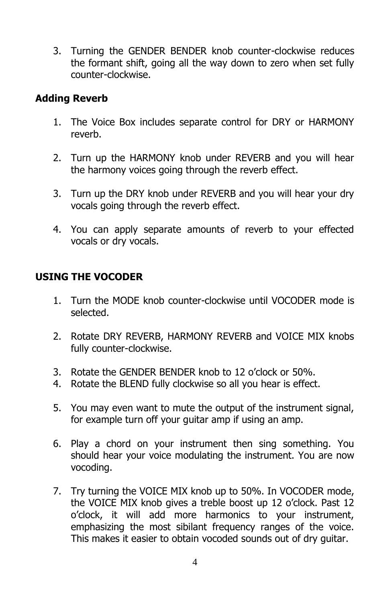3. Turning the GENDER BENDER knob counter-clockwise reduces the formant shift, going all the way down to zero when set fully counter-clockwise.

#### **Adding Reverb**

- 1. The Voice Box includes separate control for DRY or HARMONY reverb.
- 2. Turn up the HARMONY knob under REVERB and you will hear the harmony voices going through the reverb effect.
- 3. Turn up the DRY knob under REVERB and you will hear your dry vocals going through the reverb effect.
- 4. You can apply separate amounts of reverb to your effected vocals or dry vocals.

#### **USING THE VOCODER**

- 1. Turn the MODE knob counter-clockwise until VOCODER mode is selected.
- 2. Rotate DRY REVERB, HARMONY REVERB and VOICE MIX knobs fully counter-clockwise.
- 3. Rotate the GENDER BENDER knob to 12 o'clock or 50%.
- 4. Rotate the BLEND fully clockwise so all you hear is effect.
- 5. You may even want to mute the output of the instrument signal, for example turn off your guitar amp if using an amp.
- 6. Play a chord on your instrument then sing something. You should hear your voice modulating the instrument. You are now vocoding.
- 7. Try turning the VOICE MIX knob up to 50%. In VOCODER mode, the VOICE MIX knob gives a treble boost up 12 o'clock. Past 12 o'clock, it will add more harmonics to your instrument, emphasizing the most sibilant frequency ranges of the voice. This makes it easier to obtain vocoded sounds out of dry guitar.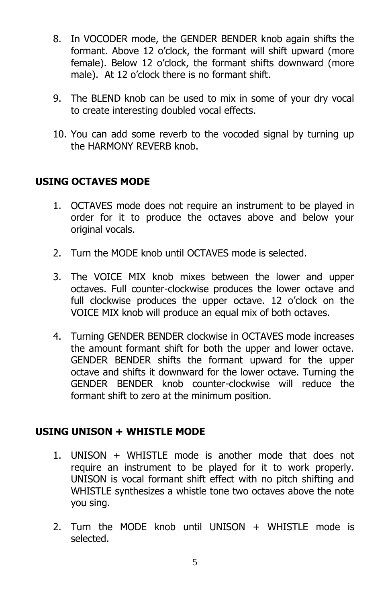- 8. In VOCODER mode, the GENDER BENDER knob again shifts the formant. Above 12 o'clock, the formant will shift upward (more female). Below 12 o'clock, the formant shifts downward (more male). At 12 o'clock there is no formant shift.
- 9. The BLEND knob can be used to mix in some of your dry vocal to create interesting doubled vocal effects.
- 10. You can add some reverb to the vocoded signal by turning up the HARMONY REVERB knob.

#### **USING OCTAVES MODE**

- 1. OCTAVES mode does not require an instrument to be played in order for it to produce the octaves above and below your original vocals.
- 2. Turn the MODE knob until OCTAVES mode is selected.
- 3. The VOICE MIX knob mixes between the lower and upper octaves. Full counter-clockwise produces the lower octave and full clockwise produces the upper octave. 12 o'clock on the VOICE MIX knob will produce an equal mix of both octaves.
- 4. Turning GENDER BENDER clockwise in OCTAVES mode increases the amount formant shift for both the upper and lower octave. GENDER BENDER shifts the formant upward for the upper octave and shifts it downward for the lower octave. Turning the GENDER BENDER knob counter-clockwise will reduce the formant shift to zero at the minimum position.

#### **USING UNISON + WHISTLE MODE**

- 1. UNISON + WHISTLE mode is another mode that does not require an instrument to be played for it to work properly. UNISON is vocal formant shift effect with no pitch shifting and WHISTLE synthesizes a whistle tone two octaves above the note you sing.
- 2. Turn the MODE knob until UNISON + WHISTLE mode is selected.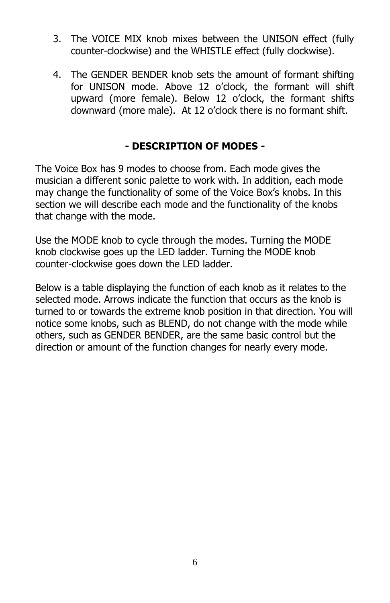- 3. The VOICE MIX knob mixes between the UNISON effect (fully counter-clockwise) and the WHISTLE effect (fully clockwise).
- 4. The GENDER BENDER knob sets the amount of formant shifting for UNISON mode. Above 12 o'clock, the formant will shift upward (more female). Below 12 o'clock, the formant shifts downward (more male). At 12 o'clock there is no formant shift.

#### **- DESCRIPTION OF MODES -**

The Voice Box has 9 modes to choose from. Each mode gives the musician a different sonic palette to work with. In addition, each mode may change the functionality of some of the Voice Box's knobs. In this section we will describe each mode and the functionality of the knobs that change with the mode.

Use the MODE knob to cycle through the modes. Turning the MODE knob clockwise goes up the LED ladder. Turning the MODE knob counter-clockwise goes down the LED ladder.

Below is a table displaying the function of each knob as it relates to the selected mode. Arrows indicate the function that occurs as the knob is turned to or towards the extreme knob position in that direction. You will notice some knobs, such as BLEND, do not change with the mode while others, such as GENDER BENDER, are the same basic control but the direction or amount of the function changes for nearly every mode.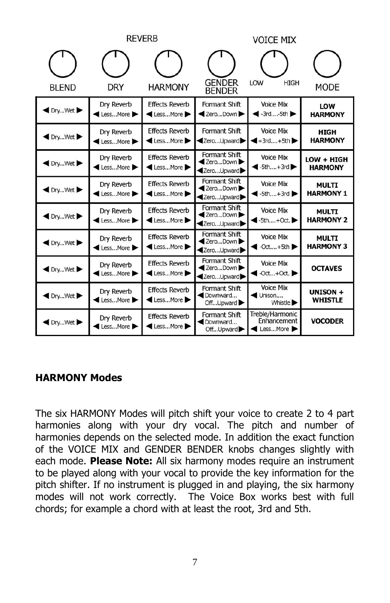|                         | REVERB                 |                                           | <b>VOICE MIX</b>                                                 |                                                                         |                                  |
|-------------------------|------------------------|-------------------------------------------|------------------------------------------------------------------|-------------------------------------------------------------------------|----------------------------------|
| <b>BLEND</b>            | DRY                    | <b>HARMONY</b>                            | <b>GENDER</b><br><b>BENDER</b>                                   | LOW<br><b>HIGH</b>                                                      | MODE                             |
| DryWet                  | Dry Reverb<br>LessMore | <b>Effects Reverb</b><br><b>ElessMore</b> | Formant Shift<br><b>Example 7</b> ZeroDown                       | <b>Voice Mix</b><br>$\blacktriangleleft$ -3rd-5th                       | LOW<br><b>HARMONY</b>            |
| DryWet                  | Dry Reverb<br>LessMore | <b>Effects Reverb</b><br>LessMore         | Formant Shift<br><b>∢ZeroUpward</b>                              | <b>Voice Mix</b><br>$-4$ -3rd+5th                                       | <b>HIGH</b><br><b>HARMONY</b>    |
| <b>External Dry</b> Wet | Dry Reverb<br>LessMore | <b>Effects Reverb</b><br>LessMore         | Formant Shift<br><b>Example 7</b> ZeroDown<br><b>∢ZeroUpward</b> | <b>Voice Mix</b><br>$\blacktriangleleft$ -5th+3rd $\blacktriangleright$ | LOW + HIGH<br><b>HARMONY</b>     |
| ● DryWet                | Dry Reverb<br>LessMore | <b>Effects Reverb</b><br><b>ElessMore</b> | Formant Shift<br><b>Example 2</b> ZeroDown<br><b>∢ZeroUpward</b> | <b>Voice Mix</b><br>$\blacktriangleleft$ -5th+3rd                       | <b>MULTI</b><br><b>HARMONY 1</b> |
| DryWet                  | Dry Reverb<br>LessMore | <b>Effects Reverb</b><br>LessMore         | Formant Shift<br><b>Example 7</b> ZeroDown<br><b>∢ZeroUpward</b> | <b>Voice Mix</b><br>$-5th+Oct.$                                         | <b>MULTI</b><br><b>HARMONY 2</b> |
| <b>I</b> DryWet ▶       | Dry Reverb<br>LessMore | <b>Effects Reverb</b><br>LessMore         | Formant Shift<br><b>Example 2</b> ZeroDown<br><b>∢ZeroUpward</b> | <b>Voice Mix</b><br>$\bullet$ -Oct+5th                                  | <b>MULTI</b><br><b>HARMONY 3</b> |
| <b>I</b> DryWet ▶       | Dry Reverb<br>LessMore | <b>Effects Reverb</b><br>LessMore         | Formant Shift<br><b>Example 7</b> ZeroDown<br><b>∢ZeroUpward</b> | <b>Voice Mix</b><br>$\triangleleft$ -Oct+Oct.                           | <b>OCTAVES</b>                   |
| DryWet                  | Dry Reverb<br>LessMore | <b>Effects Reverb</b><br>LessMore         | Formant Shift<br>Downward<br>OffUpward                           | <b>Voice Mix</b><br>Unison<br>Whistle <b>D</b>                          | UNISON +<br><b>WHISTLE</b>       |
| DryWet                  | Dry Reverb<br>LessMore | <b>Effects Reverb</b><br>◀ LessMore ▶     | Formant Shift<br>Downward<br>OffUpward                           | Treble/Harmonic<br>Enhancement<br>LessMore                              | <b>VOCODER</b>                   |

#### **HARMONY Modes**

The six HARMONY Modes will pitch shift your voice to create 2 to 4 part harmonies along with your dry vocal. The pitch and number of harmonies depends on the selected mode. In addition the exact function of the VOICE MIX and GENDER BENDER knobs changes slightly with each mode. **Please Note:** All six harmony modes require an instrument to be played along with your vocal to provide the key information for the pitch shifter. If no instrument is plugged in and playing, the six harmony modes will not work correctly. The Voice Box works best with full chords; for example a chord with at least the root, 3rd and 5th.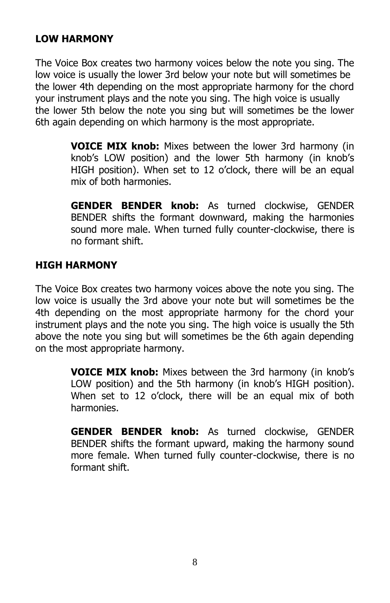#### **LOW HARMONY**

The Voice Box creates two harmony voices below the note you sing. The low voice is usually the lower 3rd below your note but will sometimes be the lower 4th depending on the most appropriate harmony for the chord your instrument plays and the note you sing. The high voice is usually the lower 5th below the note you sing but will sometimes be the lower 6th again depending on which harmony is the most appropriate.

> **VOICE MIX knob:** Mixes between the lower 3rd harmony (in knob's LOW position) and the lower 5th harmony (in knob's HIGH position). When set to 12 o'clock, there will be an equal mix of both harmonies.

> **GENDER BENDER knob:** As turned clockwise, GENDER BENDER shifts the formant downward, making the harmonies sound more male. When turned fully counter-clockwise, there is no formant shift.

#### **HIGH HARMONY**

The Voice Box creates two harmony voices above the note you sing. The low voice is usually the 3rd above your note but will sometimes be the 4th depending on the most appropriate harmony for the chord your instrument plays and the note you sing. The high voice is usually the 5th above the note you sing but will sometimes be the 6th again depending on the most appropriate harmony.

> **VOICE MIX knob:** Mixes between the 3rd harmony (in knob's LOW position) and the 5th harmony (in knob's HIGH position). When set to 12 o'clock, there will be an equal mix of both harmonies.

> **GENDER BENDER knob:** As turned clockwise, GENDER BENDER shifts the formant upward, making the harmony sound more female. When turned fully counter-clockwise, there is no formant shift.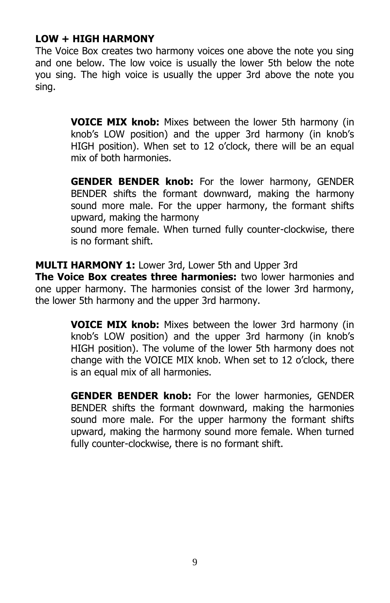#### **LOW + HIGH HARMONY**

The Voice Box creates two harmony voices one above the note you sing and one below. The low voice is usually the lower 5th below the note you sing. The high voice is usually the upper 3rd above the note you sing.

> **VOICE MIX knob:** Mixes between the lower 5th harmony (in knob's LOW position) and the upper 3rd harmony (in knob's HIGH position). When set to 12 o'clock, there will be an equal mix of both harmonies.

> **GENDER BENDER knob:** For the lower harmony, GENDER BENDER shifts the formant downward, making the harmony sound more male. For the upper harmony, the formant shifts upward, making the harmony

> sound more female. When turned fully counter-clockwise, there is no formant shift.

**MULTI HARMONY 1:** Lower 3rd, Lower 5th and Upper 3rd

**The Voice Box creates three harmonies:** two lower harmonies and one upper harmony. The harmonies consist of the lower 3rd harmony, the lower 5th harmony and the upper 3rd harmony.

> **VOICE MIX knob:** Mixes between the lower 3rd harmony (in knob's LOW position) and the upper 3rd harmony (in knob's HIGH position). The volume of the lower 5th harmony does not change with the VOICE MIX knob. When set to 12 o'clock, there is an equal mix of all harmonies.

> **GENDER BENDER knob:** For the lower harmonies, GENDER BENDER shifts the formant downward, making the harmonies sound more male. For the upper harmony the formant shifts upward, making the harmony sound more female. When turned fully counter-clockwise, there is no formant shift.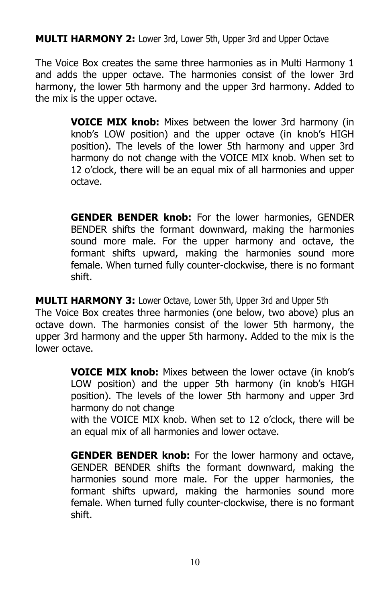**MULTI HARMONY 2:** Lower 3rd, Lower 5th, Upper 3rd and Upper Octave

The Voice Box creates the same three harmonies as in Multi Harmony 1 and adds the upper octave. The harmonies consist of the lower 3rd harmony, the lower 5th harmony and the upper 3rd harmony. Added to the mix is the upper octave.

> **VOICE MIX knob:** Mixes between the lower 3rd harmony (in knob's LOW position) and the upper octave (in knob's HIGH position). The levels of the lower 5th harmony and upper 3rd harmony do not change with the VOICE MIX knob. When set to 12 o'clock, there will be an equal mix of all harmonies and upper octave.

> **GENDER BENDER knob:** For the lower harmonies, GENDER BENDER shifts the formant downward, making the harmonies sound more male. For the upper harmony and octave, the formant shifts upward, making the harmonies sound more female. When turned fully counter-clockwise, there is no formant shift.

**MULTI HARMONY 3:** Lower Octave, Lower 5th, Upper 3rd and Upper 5th The Voice Box creates three harmonies (one below, two above) plus an octave down. The harmonies consist of the lower 5th harmony, the upper 3rd harmony and the upper 5th harmony. Added to the mix is the lower octave.

> **VOICE MIX knob:** Mixes between the lower octave (in knob's LOW position) and the upper 5th harmony (in knob's HIGH position). The levels of the lower 5th harmony and upper 3rd harmony do not change

> with the VOICE MIX knob. When set to 12 o'clock, there will be an equal mix of all harmonies and lower octave.

> **GENDER BENDER knob:** For the lower harmony and octave, GENDER BENDER shifts the formant downward, making the harmonies sound more male. For the upper harmonies, the formant shifts upward, making the harmonies sound more female. When turned fully counter-clockwise, there is no formant shift.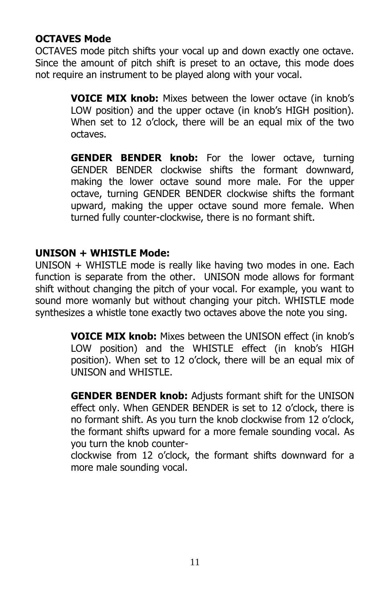#### **OCTAVES Mode**

OCTAVES mode pitch shifts your vocal up and down exactly one octave. Since the amount of pitch shift is preset to an octave, this mode does not require an instrument to be played along with your vocal.

> **VOICE MIX knob:** Mixes between the lower octave (in knob's LOW position) and the upper octave (in knob's HIGH position). When set to 12 o'clock, there will be an equal mix of the two octaves.

> **GENDER BENDER knob:** For the lower octave, turning GENDER BENDER clockwise shifts the formant downward, making the lower octave sound more male. For the upper octave, turning GENDER BENDER clockwise shifts the formant upward, making the upper octave sound more female. When turned fully counter-clockwise, there is no formant shift.

#### **UNISON + WHISTLE Mode:**

UNISON + WHISTLE mode is really like having two modes in one. Each function is separate from the other. UNISON mode allows for formant shift without changing the pitch of your vocal. For example, you want to sound more womanly but without changing your pitch. WHISTLE mode synthesizes a whistle tone exactly two octaves above the note you sing.

> **VOICE MIX knob:** Mixes between the UNISON effect (in knob's LOW position) and the WHISTLE effect (in knob's HIGH position). When set to 12 o'clock, there will be an equal mix of UNISON and WHISTLE.

> **GENDER BENDER knob:** Adjusts formant shift for the UNISON effect only. When GENDER BENDER is set to 12 o'clock, there is no formant shift. As you turn the knob clockwise from 12 o'clock, the formant shifts upward for a more female sounding vocal. As you turn the knob counter-

> clockwise from 12 o'clock, the formant shifts downward for a more male sounding vocal.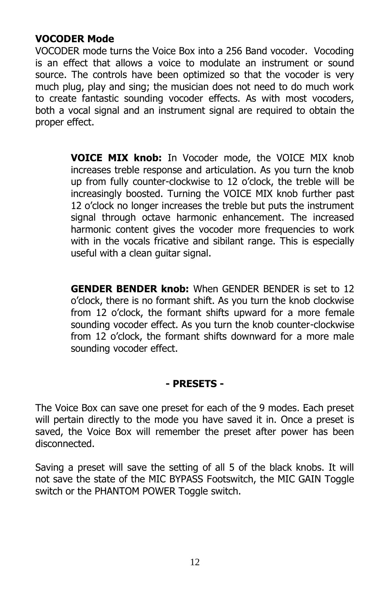#### **VOCODER Mode**

VOCODER mode turns the Voice Box into a 256 Band vocoder. Vocoding is an effect that allows a voice to modulate an instrument or sound source. The controls have been optimized so that the vocoder is very much plug, play and sing; the musician does not need to do much work to create fantastic sounding vocoder effects. As with most vocoders, both a vocal signal and an instrument signal are required to obtain the proper effect.

> **VOICE MIX knob:** In Vocoder mode, the VOICE MIX knob increases treble response and articulation. As you turn the knob up from fully counter-clockwise to 12 o'clock, the treble will be increasingly boosted. Turning the VOICE MIX knob further past 12 o'clock no longer increases the treble but puts the instrument signal through octave harmonic enhancement. The increased harmonic content gives the vocoder more frequencies to work with in the vocals fricative and sibilant range. This is especially useful with a clean guitar signal.

> **GENDER BENDER knob:** When GENDER BENDER is set to 12 o'clock, there is no formant shift. As you turn the knob clockwise from 12 o'clock, the formant shifts upward for a more female sounding vocoder effect. As you turn the knob counter-clockwise from 12 o'clock, the formant shifts downward for a more male sounding vocoder effect.

#### **- PRESETS -**

The Voice Box can save one preset for each of the 9 modes. Each preset will pertain directly to the mode you have saved it in. Once a preset is saved, the Voice Box will remember the preset after power has been disconnected.

Saving a preset will save the setting of all 5 of the black knobs. It will not save the state of the MIC BYPASS Footswitch, the MIC GAIN Toggle switch or the PHANTOM POWER Toggle switch.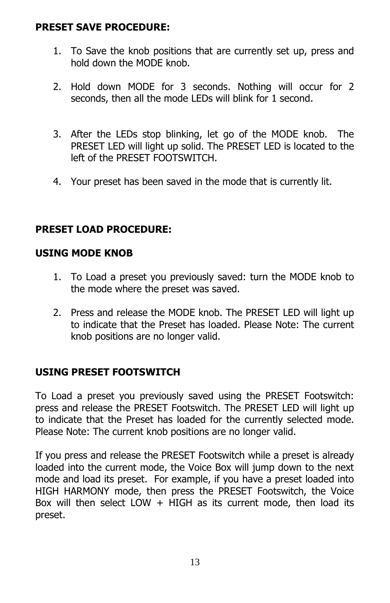#### **PRESET SAVE PROCEDURE:**

- 1. To Save the knob positions that are currently set up, press and hold down the MODE knob.
- 2. Hold down MODE for 3 seconds. Nothing will occur for 2 seconds, then all the mode LEDs will blink for 1 second.
- 3. After the LEDs stop blinking, let go of the MODE knob. The PRESET LED will light up solid. The PRESET LED is located to the left of the PRESET FOOTSWITCH.
- 4. Your preset has been saved in the mode that is currently lit.

## **PRESET LOAD PROCEDURE:**

#### **USING MODE KNOB**

- 1. To Load a preset you previously saved: turn the MODE knob to the mode where the preset was saved.
- 2. Press and release the MODE knob. The PRESET LED will light up to indicate that the Preset has loaded. Please Note: The current knob positions are no longer valid.

#### **USING PRESET FOOTSWITCH**

To Load a preset you previously saved using the PRESET Footswitch: press and release the PRESET Footswitch. The PRESET LED will light up to indicate that the Preset has loaded for the currently selected mode. Please Note: The current knob positions are no longer valid.

If you press and release the PRESET Footswitch while a preset is already loaded into the current mode, the Voice Box will jump down to the next mode and load its preset. For example, if you have a preset loaded into HIGH HARMONY mode, then press the PRESET Footswitch, the Voice Box will then select LOW  $+$  HIGH as its current mode, then load its preset.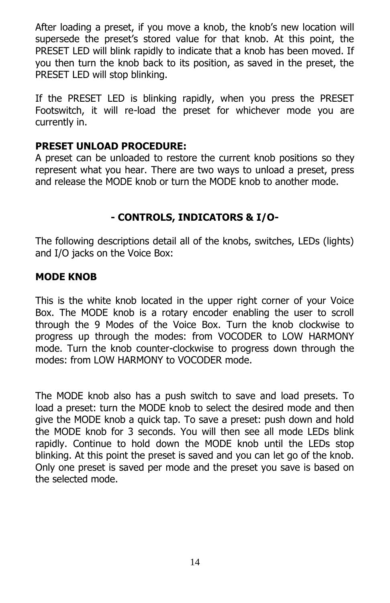After loading a preset, if you move a knob, the knob's new location will supersede the preset's stored value for that knob. At this point, the PRESET LED will blink rapidly to indicate that a knob has been moved. If you then turn the knob back to its position, as saved in the preset, the PRESET LED will stop blinking.

If the PRESET LED is blinking rapidly, when you press the PRESET Footswitch, it will re-load the preset for whichever mode you are currently in.

#### **PRESET UNLOAD PROCEDURE:**

A preset can be unloaded to restore the current knob positions so they represent what you hear. There are two ways to unload a preset, press and release the MODE knob or turn the MODE knob to another mode.

## **- CONTROLS, INDICATORS & I/O-**

The following descriptions detail all of the knobs, switches, LEDs (lights) and I/O jacks on the Voice Box:

#### **MODE KNOB**

This is the white knob located in the upper right corner of your Voice Box. The MODE knob is a rotary encoder enabling the user to scroll through the 9 Modes of the Voice Box. Turn the knob clockwise to progress up through the modes: from VOCODER to LOW HARMONY mode. Turn the knob counter-clockwise to progress down through the modes: from LOW HARMONY to VOCODER mode.

The MODE knob also has a push switch to save and load presets. To load a preset: turn the MODE knob to select the desired mode and then give the MODE knob a quick tap. To save a preset: push down and hold the MODE knob for 3 seconds. You will then see all mode LEDs blink rapidly. Continue to hold down the MODE knob until the LEDs stop blinking. At this point the preset is saved and you can let go of the knob. Only one preset is saved per mode and the preset you save is based on the selected mode.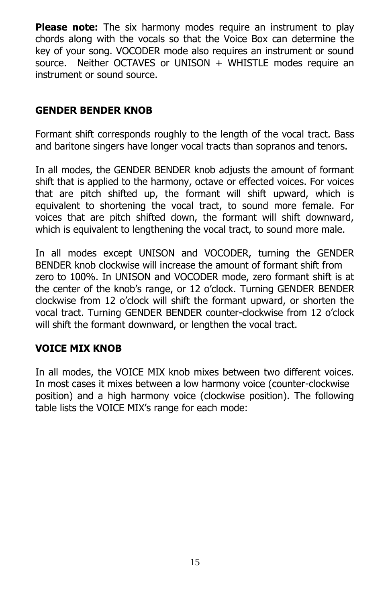**Please note:** The six harmony modes require an instrument to play chords along with the vocals so that the Voice Box can determine the key of your song. VOCODER mode also requires an instrument or sound source. Neither OCTAVES or UNISON  $+$  WHISTLE modes require an instrument or sound source.

#### **GENDER BENDER KNOB**

Formant shift corresponds roughly to the length of the vocal tract. Bass and baritone singers have longer vocal tracts than sopranos and tenors.

In all modes, the GENDER BENDER knob adjusts the amount of formant shift that is applied to the harmony, octave or effected voices. For voices that are pitch shifted up, the formant will shift upward, which is equivalent to shortening the vocal tract, to sound more female. For voices that are pitch shifted down, the formant will shift downward, which is equivalent to lengthening the vocal tract, to sound more male.

In all modes except UNISON and VOCODER, turning the GENDER BENDER knob clockwise will increase the amount of formant shift from zero to 100%. In UNISON and VOCODER mode, zero formant shift is at the center of the knob's range, or 12 o'clock. Turning GENDER BENDER clockwise from 12 o'clock will shift the formant upward, or shorten the vocal tract. Turning GENDER BENDER counter-clockwise from 12 o'clock will shift the formant downward, or lengthen the vocal tract.

#### **VOICE MIX KNOB**

In all modes, the VOICE MIX knob mixes between two different voices. In most cases it mixes between a low harmony voice (counter-clockwise position) and a high harmony voice (clockwise position). The following table lists the VOICE MIX's range for each mode: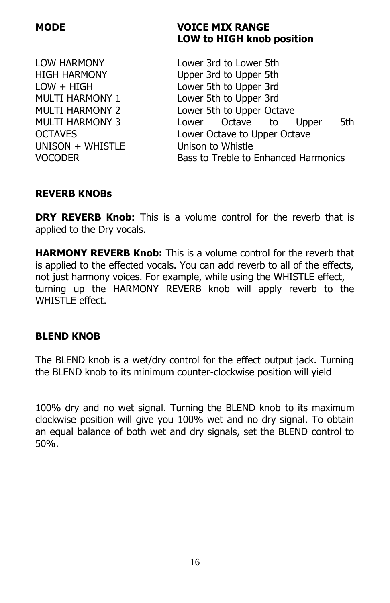$UNISON + WHISTIF$  Unison to Whistle

#### **MODE VOICE MIX RANGE LOW to HIGH knob position**

LOW HARMONY Lower 3rd to Lower 5th HIGH HARMONY Upper 3rd to Upper 5th LOW + HIGH Lower 5th to Upper 3rd MULTI HARMONY 1 Lower 5th to Upper 3rd MULTI HARMONY 2 Lower 5th to Upper Octave MULTI HARMONY 3 Lower Octave to Upper 5th OCTAVES Lower Octave to Upper Octave VOCODER Bass to Treble to Enhanced Harmonics

#### **REVERB KNOBs**

**DRY REVERB Knob:** This is a volume control for the reverb that is applied to the Dry vocals.

**HARMONY REVERB Knob:** This is a volume control for the reverb that is applied to the effected vocals. You can add reverb to all of the effects, not just harmony voices. For example, while using the WHISTLE effect, turning up the HARMONY REVERB knob will apply reverb to the WHISTLE effect.

#### **BLEND KNOB**

The BLEND knob is a wet/dry control for the effect output jack. Turning the BLEND knob to its minimum counter-clockwise position will yield

100% dry and no wet signal. Turning the BLEND knob to its maximum clockwise position will give you 100% wet and no dry signal. To obtain an equal balance of both wet and dry signals, set the BLEND control to 50%.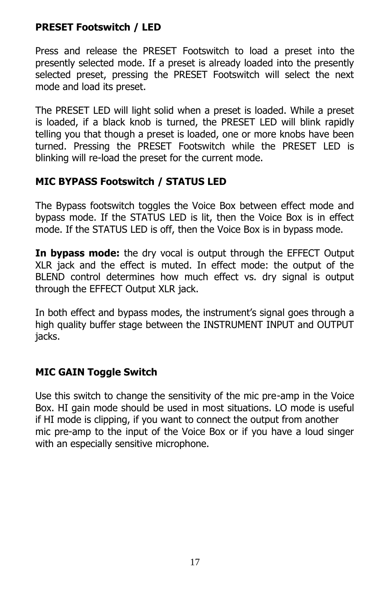## **PRESET Footswitch / LED**

Press and release the PRESET Footswitch to load a preset into the presently selected mode. If a preset is already loaded into the presently selected preset, pressing the PRESET Footswitch will select the next mode and load its preset.

The PRESET LED will light solid when a preset is loaded. While a preset is loaded, if a black knob is turned, the PRESET LED will blink rapidly telling you that though a preset is loaded, one or more knobs have been turned. Pressing the PRESET Footswitch while the PRESET LED is blinking will re-load the preset for the current mode.

# **MIC BYPASS Footswitch / STATUS LED**

The Bypass footswitch toggles the Voice Box between effect mode and bypass mode. If the STATUS LED is lit, then the Voice Box is in effect mode. If the STATUS LED is off, then the Voice Box is in bypass mode.

**In bypass mode:** the dry vocal is output through the EFFECT Output XLR jack and the effect is muted. In effect mode: the output of the BLEND control determines how much effect vs. dry signal is output through the EFFECT Output XLR jack.

In both effect and bypass modes, the instrument's signal goes through a high quality buffer stage between the INSTRUMENT INPUT and OUTPUT jacks.

# **MIC GAIN Toggle Switch**

Use this switch to change the sensitivity of the mic pre-amp in the Voice Box. HI gain mode should be used in most situations. LO mode is useful if HI mode is clipping, if you want to connect the output from another mic pre-amp to the input of the Voice Box or if you have a loud singer with an especially sensitive microphone.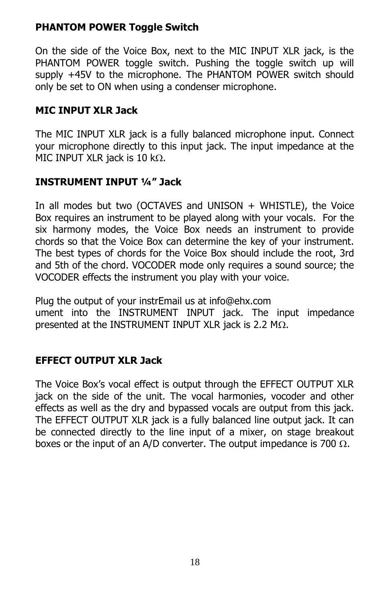## **PHANTOM POWER Toggle Switch**

On the side of the Voice Box, next to the MIC INPUT XLR jack, is the PHANTOM POWER toggle switch. Pushing the toggle switch up will supply +45V to the microphone. The PHANTOM POWER switch should only be set to ON when using a condenser microphone.

#### **MIC INPUT XLR Jack**

The MIC INPUT XLR jack is a fully balanced microphone input. Connect your microphone directly to this input jack. The input impedance at the MIC INPUT XLR jack is 10 k $\Omega$ .

## **INSTRUMENT INPUT ¼" Jack**

In all modes but two (OCTAVES and UNISON  $+$  WHISTLE), the Voice Box requires an instrument to be played along with your vocals. For the six harmony modes, the Voice Box needs an instrument to provide chords so that the Voice Box can determine the key of your instrument. The best types of chords for the Voice Box should include the root, 3rd and 5th of the chord. VOCODER mode only requires a sound source; the VOCODER effects the instrument you play with your voice.

Plug the output of your instrEmail us at info@ehx.com ument into the INSTRUMENT INPUT jack. The input impedance presented at the INSTRUMENT INPUT XLR jack is 2.2 M $\Omega$ .

#### **EFFECT OUTPUT XLR Jack**

The Voice Box's vocal effect is output through the EFFECT OUTPUT XLR jack on the side of the unit. The vocal harmonies, vocoder and other effects as well as the dry and bypassed vocals are output from this jack. The EFFECT OUTPUT XLR jack is a fully balanced line output jack. It can be connected directly to the line input of a mixer, on stage breakout boxes or the input of an A/D converter. The output impedance is 700  $\Omega$ .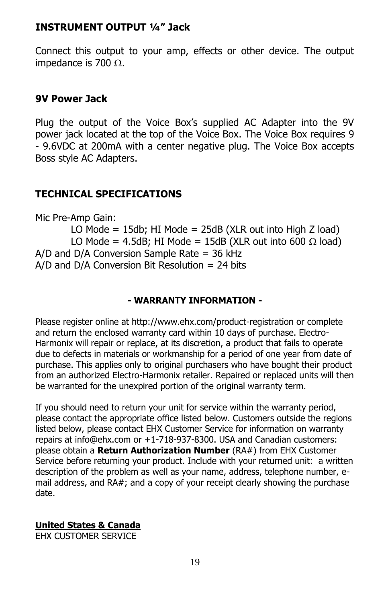#### **INSTRUMENT OUTPUT ¼" Jack**

Connect this output to your amp, effects or other device. The output impedance is 700  $\Omega$ .

#### **9V Power Jack**

Plug the output of the Voice Box's supplied AC Adapter into the 9V power jack located at the top of the Voice Box. The Voice Box requires 9 - 9.6VDC at 200mA with a center negative plug. The Voice Box accepts Boss style AC Adapters.

#### **TECHNICAL SPECIFICATIONS**

Mic Pre-Amp Gain:

LO Mode =  $15db$ ; HI Mode =  $25dB$  (XLR out into High Z load) LO Mode = 4.5dB; HI Mode = 15dB (XLR out into 600  $\Omega$  load)  $A/D$  and  $D/A$  Conversion Sample Rate = 36 kHz  $A/D$  and  $D/A$  Conversion Bit Resolution = 24 bits

#### **- WARRANTY INFORMATION -**

Please register online at http://www.ehx.com/product-registration or complete and return the enclosed warranty card within 10 days of purchase. Electro-Harmonix will repair or replace, at its discretion, a product that fails to operate due to defects in materials or workmanship for a period of one year from date of purchase. This applies only to original purchasers who have bought their product from an authorized Electro-Harmonix retailer. Repaired or replaced units will then be warranted for the unexpired portion of the original warranty term.

If you should need to return your unit for service within the warranty period, please contact the appropriate office listed below. Customers outside the regions listed below, please contact EHX Customer Service for information on warranty repairs at info@ehx.com or +1-718-937-8300. USA and Canadian customers: please obtain a **Return Authorization Number** (RA#) from EHX Customer Service before returning your product. Include with your returned unit: a written description of the problem as well as your name, address, telephone number, email address, and RA#; and a copy of your receipt clearly showing the purchase date.

#### **United States & Canada**

EHX CUSTOMER SERVICE